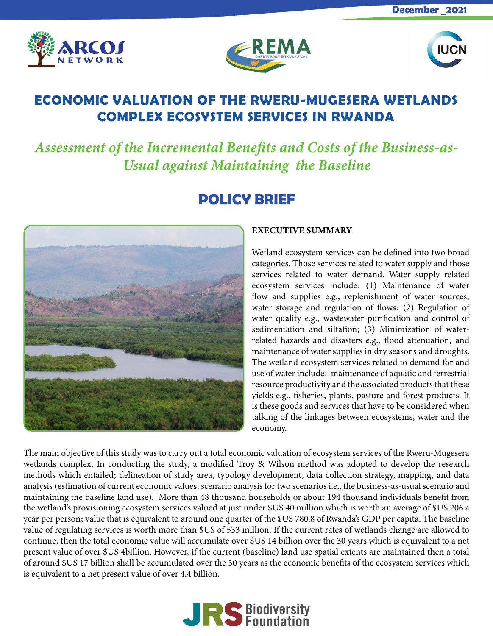





## **ECONOMIC VALUATION OF THE RWERU-MUGESERA WETLANDS COMPLEX ECOSYSTEM SERVICES IN RWANDA**

*Assessment of the Incremental Benefits and Costs of the Business-as-Usual against Maintaining the Baseline*

# **POLICY BRIEF**



## EXECUTIVE SUMMARY

Wetland ecosystem services can be defined into two broad categories. Those services related to water supply and those services related to water demand. Water supply related ecosystem services include: (1) Maintenance of water flow and supplies e.g., replenishment of water sources, water storage and regulation of flows; (2) Regulation of water quality e.g., wastewater purification and control of sedimentation and siltation; (3) Minimization of waterrelated hazards and disasters e.g., flood attenuation, and maintenance of water supplies in dry seasons and droughts. The wetland ecosystem services related to demand for and use of water include: maintenance of aquatic and terrestrial resource productivity and the associated products that these yields e.g., fisheries, plants, pasture and forest products. It is these goods and services that have to be considered when talking of the linkages between ecosystems, water and the economy.

The main objective of this study was to carry out a total economic valuation of ecosystem services of the Rweru-Mugesera wetlands complex. In conducting the study, a modified Troy & Wilson method was adopted to develop the research methods which entailed; delineation of study area, typology development, data collection strategy, mapping, and data analysis (estimation of current economic values, scenario analysis for two scenarios i.e., the business-as-usual scenario and maintaining the baseline land use). More than 48 thousand households or about 194 thousand individuals benefit from the wetland's provisioning ecosystem services valued at just under \$US 40 million which is worth an average of \$US 206 a year per person; value that is equivalent to around one quarter of the \$US 780.8 of Rwanda's GDP per capita. The baseline value of regulating services is worth more than \$US of 533 million. If the current rates of wetlands change are allowed to continue, then the total economic value will accumulate over \$US 14 billion over the 30 years which is equivalent to a net present value of over \$US 4billion. However, if the current (baseline) land use spatial extents are maintained then a total of around \$US 17 billion shall be accumulated over the 30 years as the economic benefits of the ecosystem services which is equivalent to a net present value of over 4.4 billion.

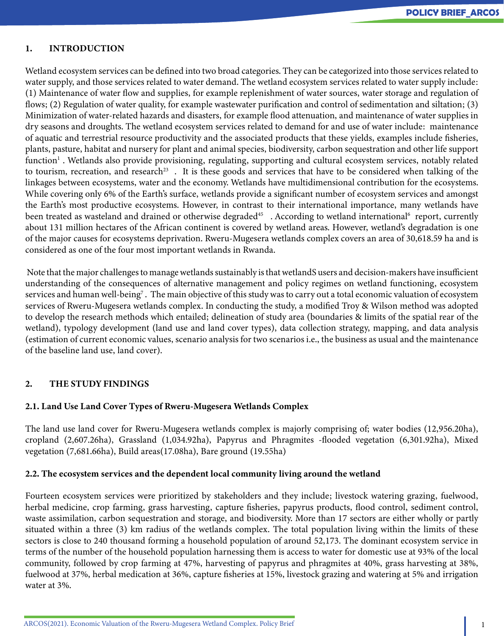### 1. INTRODUCTION

Wetland ecosystem services can be defined into two broad categories. They can be categorized into those services related to water supply, and those services related to water demand. The wetland ecosystem services related to water supply include: (1) Maintenance of water flow and supplies, for example replenishment of water sources, water storage and regulation of flows; (2) Regulation of water quality, for example wastewater purification and control of sedimentation and siltation; (3) Minimization of water-related hazards and disasters, for example flood attenuation, and maintenance of water supplies in dry seasons and droughts. The wetland ecosystem services related to demand for and use of water include: maintenance of aquatic and terrestrial resource productivity and the associated products that these yields, examples include fisheries, plants, pasture, habitat and nursery for plant and animal species, biodiversity, carbon sequestration and other life support function<sup>1</sup>. Wetlands also provide provisioning, regulating, supporting and cultural ecosystem services, notably related to tourism, recreation, and research<sup>23</sup>. It is these goods and services that have to be considered when talking of the linkages between ecosystems, water and the economy. Wetlands have multidimensional contribution for the ecosystems. While covering only 6% of the Earth's surface, wetlands provide a significant number of ecosystem services and amongst the Earth's most productive ecosystems. However, in contrast to their international importance, many wetlands have been treated as wasteland and drained or otherwise degraded<sup>45</sup>. According to wetland international<sup>6</sup> report, currently about 131 million hectares of the African continent is covered by wetland areas. However, wetland's degradation is one of the major causes for ecosystems deprivation. Rweru-Mugesera wetlands complex covers an area of 30,618.59 ha and is considered as one of the four most important wetlands in Rwanda.

 Note that the major challenges to manage wetlands sustainably is that wetlandS users and decision-makers have insufficient understanding of the consequences of alternative management and policy regimes on wetland functioning, ecosystem services and human well-being $^7$  . The main objective of this study was to carry out a total economic valuation of ecosystem services of Rweru-Mugesera wetlands complex. In conducting the study, a modified Troy & Wilson method was adopted to develop the research methods which entailed; delineation of study area (boundaries & limits of the spatial rear of the wetland), typology development (land use and land cover types), data collection strategy, mapping, and data analysis (estimation of current economic values, scenario analysis for two scenarios i.e., the business as usual and the maintenance of the baseline land use, land cover).

## 2. THE STUDY FINDINGS

#### 2.1. Land Use Land Cover Types of Rweru-Mugesera Wetlands Complex

The land use land cover for Rweru-Mugesera wetlands complex is majorly comprising of; water bodies (12,956.20ha), cropland (2,607.26ha), Grassland (1,034.92ha), Papyrus and Phragmites -flooded vegetation (6,301.92ha), Mixed vegetation (7,681.66ha), Build areas(17.08ha), Bare ground (19.55ha)

#### 2.2. The ecosystem services and the dependent local community living around the wetland

Fourteen ecosystem services were prioritized by stakeholders and they include; livestock watering grazing, fuelwood, herbal medicine, crop farming, grass harvesting, capture fisheries, papyrus products, flood control, sediment control, waste assimilation, carbon sequestration and storage, and biodiversity. More than 17 sectors are either wholly or partly situated within a three (3) km radius of the wetlands complex. The total population living within the limits of these sectors is close to 240 thousand forming a household population of around 52,173. The dominant ecosystem service in terms of the number of the household population harnessing them is access to water for domestic use at 93% of the local community, followed by crop farming at 47%, harvesting of papyrus and phragmites at 40%, grass harvesting at 38%, fuelwood at 37%, herbal medication at 36%, capture fisheries at 15%, livestock grazing and watering at 5% and irrigation water at 3%.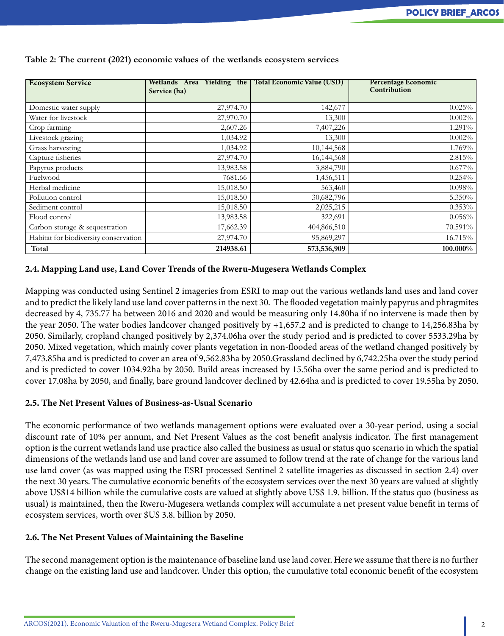| <b>Ecosystem Service</b>              | Wetlands Area Yielding the<br>Service (ha) | <b>Total Economic Value (USD)</b> | <b>Percentage Economic</b><br>Contribution |
|---------------------------------------|--------------------------------------------|-----------------------------------|--------------------------------------------|
| Domestic water supply                 | 27,974.70                                  | 142,677                           | 0.025%                                     |
| Water for livestock                   | 27,970.70                                  | 13,300                            | 0.002%                                     |
| Crop farming                          | 2,607.26                                   | 7,407,226                         | 1.291%                                     |
| Livestock grazing                     | 1,034.92                                   | 13,300                            | 0.002%                                     |
| Grass harvesting                      | 1,034.92                                   | 10,144,568                        | 1.769%                                     |
| Capture fisheries                     | 27,974.70                                  | 16,144,568                        | 2.815%                                     |
| Papyrus products                      | 13,983.58                                  | 3,884,790                         | $0.677\%$                                  |
| Fuelwood                              | 7681.66                                    | 1,456,511                         | 0.254%                                     |
| Herbal medicine                       | 15,018.50                                  | 563,460                           | 0.098%                                     |
| Pollution control                     | 15,018.50                                  | 30,682,796                        | 5.350%                                     |
| Sediment control                      | 15,018.50                                  | 2,025,215                         | 0.353%                                     |
| Flood control                         | 13,983.58                                  | 322,691                           | 0.056%                                     |
| Carbon storage & sequestration        | 17,662.39                                  | 404,866,510                       | 70.591%                                    |
| Habitat for biodiversity conservation | 27,974.70                                  | 95,869,297                        | 16.715%                                    |
| Total                                 | 214938.61                                  | 573,536,909                       | 100.000%                                   |

**Table 2: The current (2021) economic values of the wetlands ecosystem services**

## 2.4. Mapping Land use, Land Cover Trends of the Rweru-Mugesera Wetlands Complex

Mapping was conducted using Sentinel 2 imageries from ESRI to map out the various wetlands land uses and land cover and to predict the likely land use land cover patterns in the next 30. The flooded vegetation mainly papyrus and phragmites decreased by 4, 735.77 ha between 2016 and 2020 and would be measuring only 14.80ha if no intervene is made then by the year 2050. The water bodies landcover changed positively by +1,657.2 and is predicted to change to 14,256.83ha by 2050. Similarly, cropland changed positively by 2,374.06ha over the study period and is predicted to cover 5533.29ha by 2050. Mixed vegetation, which mainly cover plants vegetation in non-flooded areas of the wetland changed positively by 7,473.85ha and is predicted to cover an area of 9,562.83ha by 2050.Grassland declined by 6,742.25ha over the study period and is predicted to cover 1034.92ha by 2050. Build areas increased by 15.56ha over the same period and is predicted to cover 17.08ha by 2050, and finally, bare ground landcover declined by 42.64ha and is predicted to cover 19.55ha by 2050.

## 2.5. The Net Present Values of Business-as-Usual Scenario

The economic performance of two wetlands management options were evaluated over a 30-year period, using a social discount rate of 10% per annum, and Net Present Values as the cost benefit analysis indicator. The first management option is the current wetlands land use practice also called the business as usual or status quo scenario in which the spatial dimensions of the wetlands land use and land cover are assumed to follow trend at the rate of change for the various land use land cover (as was mapped using the ESRI processed Sentinel 2 satellite imageries as discussed in section 2.4) over the next 30 years. The cumulative economic benefits of the ecosystem services over the next 30 years are valued at slightly above US\$14 billion while the cumulative costs are valued at slightly above US\$ 1.9. billion. If the status quo (business as usual) is maintained, then the Rweru-Mugesera wetlands complex will accumulate a net present value benefit in terms of ecosystem services, worth over \$US 3.8. billion by 2050.

## 2.6. The Net Present Values of Maintaining the Baseline

The second management option is the maintenance of baseline land use land cover. Here we assume that there is no further change on the existing land use and landcover. Under this option, the cumulative total economic benefit of the ecosystem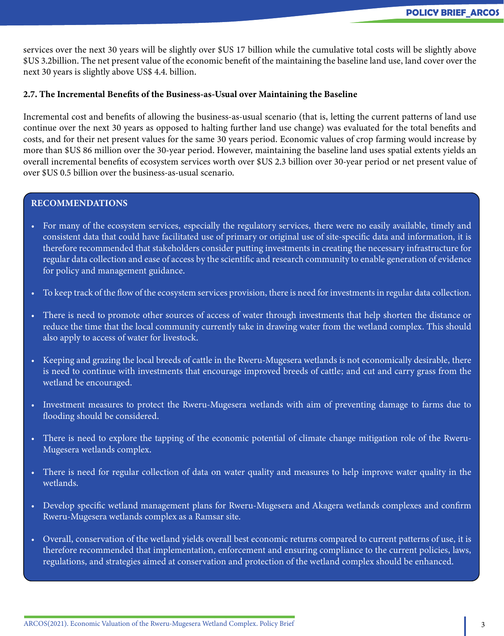services over the next 30 years will be slightly over \$US 17 billion while the cumulative total costs will be slightly above \$US 3.2billion. The net present value of the economic benefit of the maintaining the baseline land use, land cover over the next 30 years is slightly above US\$ 4.4. billion.

## 2.7. The Incremental Benefits of the Business-as-Usual over Maintaining the Baseline

Incremental cost and benefits of allowing the business-as-usual scenario (that is, letting the current patterns of land use continue over the next 30 years as opposed to halting further land use change) was evaluated for the total benefits and costs, and for their net present values for the same 30 years period. Economic values of crop farming would increase by more than \$US 86 million over the 30-year period. However, maintaining the baseline land uses spatial extents yields an overall incremental benefits of ecosystem services worth over \$US 2.3 billion over 30-year period or net present value of over \$US 0.5 billion over the business-as-usual scenario.

#### RECOMMENDATIONS

- For many of the ecosystem services, especially the regulatory services, there were no easily available, timely and consistent data that could have facilitated use of primary or original use of site-specific data and information, it is therefore recommended that stakeholders consider putting investments in creating the necessary infrastructure for regular data collection and ease of access by the scientific and research community to enable generation of evidence for policy and management guidance.
- To keep track of the flow of the ecosystem services provision, there is need for investments in regular data collection.
- There is need to promote other sources of access of water through investments that help shorten the distance or reduce the time that the local community currently take in drawing water from the wetland complex. This should also apply to access of water for livestock.
- Keeping and grazing the local breeds of cattle in the Rweru-Mugesera wetlands is not economically desirable, there is need to continue with investments that encourage improved breeds of cattle; and cut and carry grass from the wetland be encouraged.
- Investment measures to protect the Rweru-Mugesera wetlands with aim of preventing damage to farms due to flooding should be considered.
- There is need to explore the tapping of the economic potential of climate change mitigation role of the Rweru-Mugesera wetlands complex.
- There is need for regular collection of data on water quality and measures to help improve water quality in the wetlands.
- Develop specific wetland management plans for Rweru-Mugesera and Akagera wetlands complexes and confirm Rweru-Mugesera wetlands complex as a Ramsar site.
- Overall, conservation of the wetland yields overall best economic returns compared to current patterns of use, it is therefore recommended that implementation, enforcement and ensuring compliance to the current policies, laws, regulations, and strategies aimed at conservation and protection of the wetland complex should be enhanced.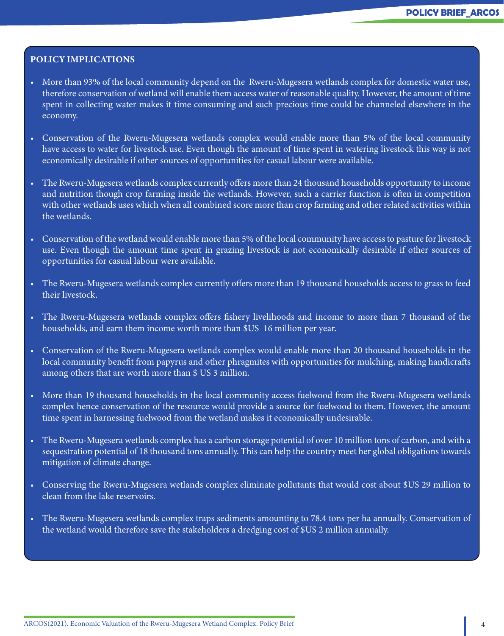### POLICY IMPLICATIONS

- More than 93% of the local community depend on the Rweru-Mugesera wetlands complex for domestic water use, therefore conservation of wetland will enable them access water of reasonable quality. However, the amount of time spent in collecting water makes it time consuming and such precious time could be channeled elsewhere in the economy.
- Conservation of the Rweru-Mugesera wetlands complex would enable more than 5% of the local community have access to water for livestock use. Even though the amount of time spent in watering livestock this way is not economically desirable if other sources of opportunities for casual labour were available.
- The Rweru-Mugesera wetlands complex currently offers more than 24 thousand households opportunity to income and nutrition though crop farming inside the wetlands. However, such a carrier function is often in competition with other wetlands uses which when all combined score more than crop farming and other related activities within the wetlands.
- Conservation of the wetland would enable more than 5% of the local community have access to pasture for livestock use. Even though the amount time spent in grazing livestock is not economically desirable if other sources of opportunities for casual labour were available.
- The Rweru-Mugesera wetlands complex currently offers more than 19 thousand households access to grass to feed their livestock.
- The Rweru-Mugesera wetlands complex offers fishery livelihoods and income to more than 7 thousand of the households, and earn them income worth more than \$US 16 million per year.
- Conservation of the Rweru-Mugesera wetlands complex would enable more than 20 thousand households in the local community benefit from papyrus and other phragmites with opportunities for mulching, making handicrafts among others that are worth more than \$ US 3 million.
- More than 19 thousand households in the local community access fuelwood from the Rweru-Mugesera wetlands complex hence conservation of the resource would provide a source for fuelwood to them. However, the amount time spent in harnessing fuelwood from the wetland makes it economically undesirable.
- The Rweru-Mugesera wetlands complex has a carbon storage potential of over 10 million tons of carbon, and with a sequestration potential of 18 thousand tons annually. This can help the country meet her global obligations towards mitigation of climate change.
- Conserving the Rweru-Mugesera wetlands complex eliminate pollutants that would cost about \$US 29 million to clean from the lake reservoirs.
- The Rweru-Mugesera wetlands complex traps sediments amounting to 78.4 tons per ha annually. Conservation of the wetland would therefore save the stakeholders a dredging cost of \$US 2 million annually.